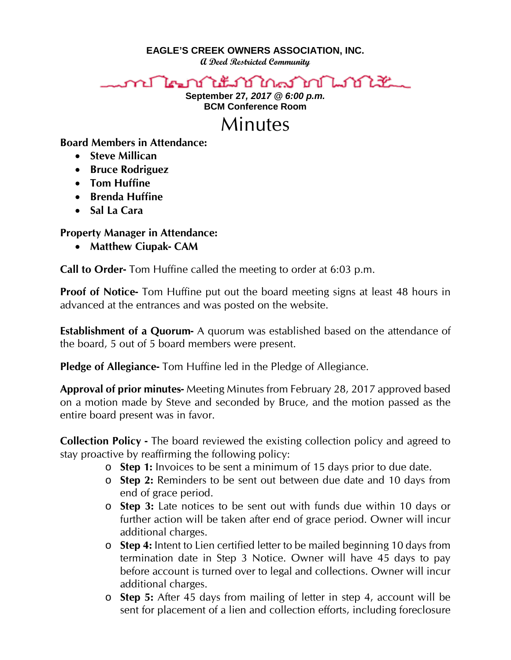**EAGLE'S CREEK OWNERS ASSOCIATION, INC.**

**A Deed Restricted Community**



**September 27***, 2017 @ 6:00 p.m.* **BCM Conference Room**



**Board Members in Attendance:** 

- **Steve Millican**
- **Bruce Rodriguez**
- **Tom Huffine**
- **Brenda Huffine**
- **Sal La Cara**

## **Property Manager in Attendance:**

• **Matthew Ciupak- CAM**

**Call to Order-** Tom Huffine called the meeting to order at 6:03 p.m.

**Proof of Notice-** Tom Huffine put out the board meeting signs at least 48 hours in advanced at the entrances and was posted on the website.

**Establishment of a Quorum-** A quorum was established based on the attendance of the board, 5 out of 5 board members were present.

**Pledge of Allegiance-** Tom Huffine led in the Pledge of Allegiance.

**Approval of prior minutes-** Meeting Minutes from February 28, 2017 approved based on a motion made by Steve and seconded by Bruce, and the motion passed as the entire board present was in favor.

**Collection Policy -** The board reviewed the existing collection policy and agreed to stay proactive by reaffirming the following policy:

- o **Step 1:** Invoices to be sent a minimum of 15 days prior to due date.
- o **Step 2:** Reminders to be sent out between due date and 10 days from end of grace period.
- o **Step 3:** Late notices to be sent out with funds due within 10 days or further action will be taken after end of grace period. Owner will incur additional charges.
- o **Step 4:** Intent to Lien certified letter to be mailed beginning 10 days from termination date in Step 3 Notice. Owner will have 45 days to pay before account is turned over to legal and collections. Owner will incur additional charges.
- o **Step 5:** After 45 days from mailing of letter in step 4, account will be sent for placement of a lien and collection efforts, including foreclosure